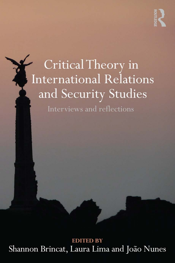# Critical Theory in **International Relations** and Security Studies

Interviews and reflections

**EDITED BY** Shannon Brincat, Laura Lima and João Nunes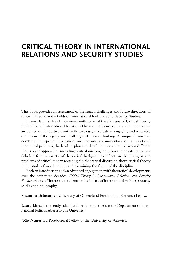# **CRITICAL THEORY IN INTERNATIONAL RELATIONS AND SECURITY STUDIES**

This book provides an assessment of the legacy, challenges and future directions of Critical Theory in the fields of International Relations and Security Studies.

It provides 'first-hand' interviews with some of the pioneers of Critical Theory in the fields of International Relations Theory and Security Studies. The interviews are combined innovatively with reflective essays to create an engaging and accessible discussion of the legacy and challenges of critical thinking. A unique forum that combines first-person discussion and secondary commentary on a variety of theoretical positions, the book explores in detail the interaction between different theories and approaches, including postcolonialism, feminism and poststructuralism. Scholars from a variety of theoretical backgrounds reflect on the strengths and problems of critical theory, recasting the theoretical discussion about critical theory in the study of world politics and examining the future of the discipline.

Both an introduction and an advanced engagement with theoretical developments over the past three decades, *Critical Theory in International Relations and Security Studies* will be of interest to students and scholars of international politics, security studies and philosophy.

**Shannon Brincat** is a University of Queensland Postdoctoral Research Fellow.

**Laura Lima** has recently submitted her doctoral thesis at the Department of International Politics, Aberystwyth University.

**João Nunes** is a Postdoctoral Fellow at the University of Warwick.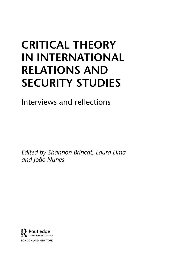# **CRITICAL THEORY IN INTERNATIONAL RELATIONS AND SECURITY STUDIES**

Interviews and reflections

*Edited by Shannon Brincat, Laura Lima and João Nunes*

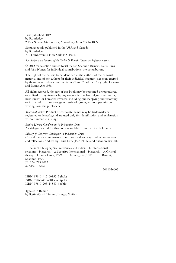First published 2012 by Routledge 2 Park Square, Milton Park, Abingdon, Oxon OX14 4RN

Simultaneously published in the USA and Canada by Routledge 711 Third Avenue, New York, NY 10017

#### *Routledge is an imprint of the Taylor & Francis Group, an informa business*

© 2012 for selection and editorial matter, Shannon Brincat, Laura Lima and João Nunes; for individual contributions, the contributors.

The right of the editors to be identified as the authors of the editorial material, and of the authors for their individual chapters, has been asserted by them in accordance with sections 77 and 78 of the Copyright, Designs and Patents Act 1988.

All rights reserved. No part of this book may be reprinted or reproduced or utilised in any form or by any electronic, mechanical, or other means, now known or hereafter invented, including photocopying and recording, or in any information storage or retrieval system, without permission in writing from the publishers.

*Trademark notice:* Product or corporate names may be trademarks or registered trademarks, and are used only for identification and explanation without intent to infringe.

*British Library Cataloguing in Publication Data* A catalogue record for this book is available from the British Library

#### *Library of Congress Cataloging in Publication Data*

Critical theory in international relations and security studies : interviews and reflections / edited by Laura Lima, João Nunes and Shannon Brincat. p. cm.

 Includes bibliographical references and index. 1. International relations––Research. 2. Security, International––Research. 3. Critical theory. I. Lima, Laura, 1979– II. Nunes, João, 1981– III. Brincat, Shannon, 1979– JZ1234.C75 2012 327.101––dc23

2011026003

ISBN: 978-0-415-60157-3 (hbk) ISBN: 978-0-415-60158-0 (pbk) ISBN: 978-0-203-14549-4 (ebk)

Typeset in Bembo by RefineCatch Limited, Bungay, Suffolk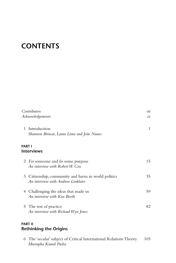# <span id="page-4-0"></span>**CONTENTS**

| Contributors<br>Acknowledgements |                                                                                          | vii<br>$i\mathcal{x}$ |
|----------------------------------|------------------------------------------------------------------------------------------|-----------------------|
| $\mathbf{1}$                     | Introduction<br>Shannon Brincat, Laura Lima and João Nunes                               | 1                     |
|                                  | PART I<br><b>Interviews</b>                                                              |                       |
|                                  | 2 <i>For</i> someone and <i>for</i> some purpose<br>An interview with Robert W. $C_{0x}$ | 15                    |
| 3                                | Citizenship, community and harm in world politics<br>An interview with Andrew Linklater  | 35                    |
|                                  | 4 Challenging the ideas that made us<br>An interview with Ken Booth                      | 59                    |
|                                  | 5 The test of practice<br>An interview with Richard Wyn Jones                            | 82                    |

## **PART II Rethinking the Origins**

 6 The 'secular' subject of Critical International Relations Theory 105  *Mustapha Kamal Pasha*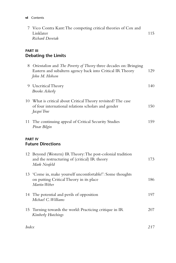| 7 Vico Contra Kant: The competing critical theories of Cox and |     |
|----------------------------------------------------------------|-----|
| Linklater                                                      | 115 |
| Richard Devetak                                                |     |

## **PART III Debating the Limits**

|                                            | 8 Orientalism and The Poverty of Theory three decades on: Bringing<br>Eastern and subaltern agency back into Critical IR Theory<br>John M. Hobson | 129 |  |
|--------------------------------------------|---------------------------------------------------------------------------------------------------------------------------------------------------|-----|--|
|                                            | 9 Uncritical Theory<br><b>Brooke Ackerly</b>                                                                                                      | 140 |  |
|                                            | 10 What is critical about Critical Theory revisited? The case<br>of four international relations scholars and gender<br>Jacqui True               | 150 |  |
|                                            | 11 The continuing appeal of Critical Security Studies<br>Pinar Bilgin                                                                             | 159 |  |
| <b>PART IV</b><br><b>Future Directions</b> |                                                                                                                                                   |     |  |
|                                            | 12 Beyond (Western) IR Theory: The post-colonial tradition<br>and the restructuring of (critical) IR theory<br>Mark Neufeld                       | 173 |  |
|                                            | 13 'Come in, make yourself uncomfortable!': Some thoughts<br>on putting Critical Theory in its place<br>Martin Weber                              | 186 |  |
|                                            | 14 The potential and perils of opposition<br>Michael C. Williams                                                                                  | 197 |  |
| 15                                         | Turning towards the world: Practicing critique in IR<br>Kimberly Hutchings                                                                        | 207 |  |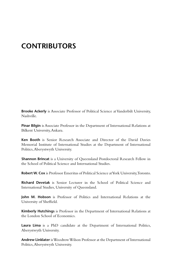# <span id="page-6-0"></span>**[CONTRIBUTORS](#page-4-0)**

**Brooke Ackerly** is Associate Professor of Political Science at Vanderbilt University, Nashville.

**Pinar Bilgin** is Associate Professor in the Department of International Relations at Bilkent University, Ankara.

**Ken Booth** is Senior Research Associate and Director of the David Davies Memorial Institute of International Studies at the Department of International Politics, Aberystwyth University.

**Shannon Brincat** is a University of Queensland Postdoctoral Research Fellow in the School of Political Science and International Studies.

**Robert W. Cox** is Professor Emeritus of Political Science at York University, Toronto.

**Richard Devetak** is Senior Lecturer in the School of Political Science and International Studies, University of Queensland.

**John M. Hobson** is Professor of Politics and International Relations at the University of Sheffield.

**Kimberly Hutchings** is Professor in the Department of International Relations at the London School of Economics.

**Laura Lima** is a PhD candidate at the Department of International Politics, Aberystwyth University.

**Andrew Linklater** is Woodrow Wilson Professor at the Department of International Politics, Aberystwyth University.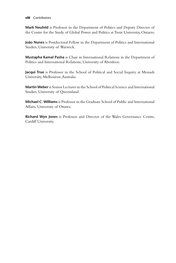#### **viii** Contributors

**Mark Neufeld** is Professor in the Department of Politics and Deputy Director of the Centre for the Study of Global Power and Politics at Trent University, Ontario.

**João Nunes** is Postdoctoral Fellow in the Department of Politics and International Studies, University of Warwick.

**Mustapha Kamal Pasha** is Chair in International Relations in the Department of Politics and International Relations, University of Aberdeen.

**Jacqui True** is Professor in the School of Political and Social Inquiry at Monash University, Melbourne, Australia.

**Martin Weber** is Senior Lecturer in the School of Political Science and International Studies, University of Queensland.

**Michael C. Williams** is Professor in the Graduate School of Public and International Affairs, University of Ottawa.

**Richard Wyn Jones** is Professor and Director of the Wales Governance Centre, Cardiff University.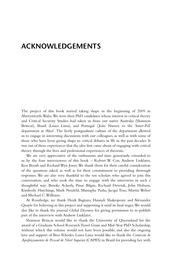## <span id="page-8-0"></span>**[ACKNOWLEDGEMENTS](#page-4-0)**

The project of this book started taking shape in the beginning of 2009 in Aberystwyth, Wales. We were then PhD candidates whose interest in critical theory and Critical Security Studies had taken us from our native Australia (Shannon Brincat), Brazil (Laura Lima), and Portugal ( João Nunes) to the 'Inter-Pol' department at 'Aber'. The lively postgraduate culture of the department allowed us to engage in interesting discussions with our colleagues, as well as with some of those who have been giving shape to critical debates in IR in the past decades. It was out of these experiences that the idea first came about of engaging with critical theory through the lives and professional experiences of theorists.

We are very appreciative of the enthusiasm and time generously extended to us by the four interviewees of this book – Robert W. Cox, Andrew Linklater, Ken Booth and Richard Wyn Jones. We thank them for their careful consideration of the questions asked, as well as for their commitment to providing thorough responses. We are also very thankful to the ten scholars who agreed to join this conversation, and who took the time to engage with the interviews in such a thoughtful way: Brooke Ackerly, Pinar Bilgin, Richard Devetak, John Hobson, Kimberly Hutchings, Mark Neufeld, Mustapha Pasha, Jacqui True, Martin Weber and Michael C. Williams.

At Routledge, we thank Heidi Bagtazo, Hannah Shakespeare and Alexander Quayle for believing in this project and supporting it until its final stages. We would also like to thank the journal *Global Discourse* for giving permission to re-publish part of the interview with Andrew Linklater.

Shannon Brincat would like to thank the University of Queensland for the award of a Graduate School Research Travel Grant and Mid-Year PhD Scholarship, without which this volume would not have been possible, and also the ongoing love and support of Bree Rhodes. Laura Lima would like to thank the *Comissão de Aperfeiçoamento de Pessoal de Nível Superior* (CAPES) in Brazil for providing her with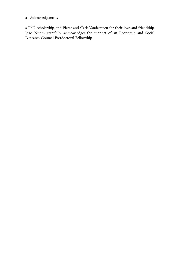#### **x** Acknowledgements

a PhD scholarship, and Pieter and Carla Vandersteen for their love and friendship. João Nunes gratefully acknowledges the support of an Economic and Social Research Council Postdoctoral Fellowship.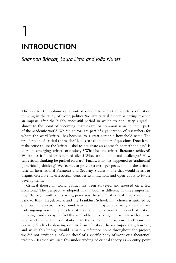# <span id="page-10-0"></span>[1](#page-4-0) **[INTRODUCTION](#page-4-0)**

## *[Shannon Brincat, Laura Lima and João Nunes](#page-4-0)*

The idea for this volume came out of a desire to assess the trajectory of critical thinking in the study of world politics. We saw critical theory as having reached an impasse, after the highly successful period in which its popularity surged – almost to the point of becoming 'mainstream' or common sense in some parts of the academic world. We the editors are part of a generation of researchers for whom the word 'critical' has become, to a great extent, a household name. The proliferation of 'critical approaches' led us to ask a number of questions. Does it still make sense to use the 'critical' label to designate an approach or methodology? Is there an emerging 'critical orthodoxy'? What has the critical literature achieved? Where has it failed or remained silent? What are its limits and challenges? How can critical thinking be pushed forward? Finally, what has happened to 'traditional' ('uncritical') thinking? We set out to provide a fresh perspective upon the 'critical turn' in International Relations and Security Studies – one that would revisit its origins, celebrate its eclecticism, consider its limitations and open doors to future developments.

Critical theory in world politics has been surveyed and assessed on a few occasions[.1](#page-19-0) The perspective adopted in this book is different in three important ways. To begin with, our starting point was the strand of critical theory reaching back to Kant, Hegel, Marx and the Frankfurt School. This choice is justified by our own intellectual background – when this project was firstly discussed, we had ongoing research projects that applied insights from this strand of critical thinking – and also by the fact that we had been working in proximity with authors who made important contributions to the fields of International Relations and Security Studies by drawing on this form of critical theory. Importantly, however, and while this lineage would remain a reference point throughout the project, we did not envision a 'balance-sheet' of a specific body of work or a theoretical tradition. Rather, we used this understanding of critical theory as an entry-point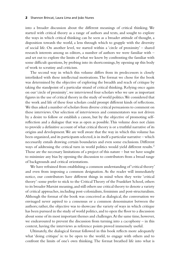<span id="page-11-0"></span>into a broader discussion about the different meanings of critical thinking. We started with critical theory as a range of authors and texts, and sought to explore the ways in which critical thinking can be seen as a broader attitude of thought, a disposition towards the world, a lens through which to grapple with the diversity of social life. On another level, we started within a 'circle of proximity' – shared research interests among us editors, a number of authors we were familiar with – and set out to explore the limits of what we knew by confronting the familiar with some difficult questions, by probing into its shortcomings, by opening up this body of work to scrutiny and criticism.

The second way in which this volume differs from its predecessors is closely interlinked with these intellectual motivations. The format we chose for the book was determined by the objective of exploring the breadth and reach of critique by taking the standpoint of a particular strand of critical thinking. Relying once again on our 'circle of proximity', we interviewed four scholars who we saw as important figures in the use of critical theory in the study of world politics. We considered that the work and life of these four scholars could prompt different kinds of reflections. We thus asked a number of scholars from diverse critical persuasions to comment on these interviews. Our selection of interviewees and commentators was not driven by a desire to follow or establish a canon, but by the objective of promoting selfreflection and a dialogue that was as open as possible. This volume does not claim to provide a definitive account of what critical theory is or a truthful narrative of its origins and development. We are well aware that the way in which this volume has been organized, and its participants selected, is in itself a particular narrative – which necessarily entails drawing certain boundaries and even some exclusions. Different ways of addressing the critical turn in world politics would yield different results.<sup>2</sup> Those are the necessary limitations of a project of this nature – but we have sought to minimize any bias by opening the discussion to contributors from a broad range of backgrounds and critical orientations.

We have refrained from establishing a common understanding of 'critical theory' and even from imposing a common designation. As the reader will immediately notice, our contributors have different things in mind when they write 'critical theory': some prefer to stick to the Critical Theory of the Frankfurt School, others to its broader Marxist meaning, and still others use critical theory to denote a variety of critical approaches, including post-colonialism, feminism and post-structuralism. Although the format of the book was conceived as dialogical, the conversation we envisaged never aspired to a consensus or a common denominator between the authors; rather, the objective was to showcase the variety of ways in which critique has been pursued in the study of world politics, and to open the floor to a discussion about some of its most important themes and challenges. At the same time, however, we endeavoured to prevent the discussion from turning into a cacophony – in this context, having the interviews as reference points proved immensely useful.

Ultimately, the dialogical format followed in this book reflects more adequately what 'doing critique' is: to be open to the world, to engage with others and to confront the limits of one's own thinking. The format breathed life into what is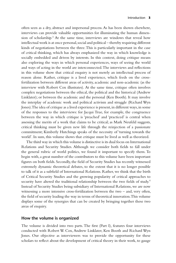<span id="page-12-0"></span>often seen as a dry, abstract and impersonal process. As has been shown elsewhere, interviews can provide valuable opportunities for illuminating the human dimension of scholarship[.3](#page-19-0) At the same time, interviews are windows that reveal how intellectual work is at once personal, social and political – thereby requiring different kinds of negotiations between the three. This is particularly important in the case of critical thinking, which has always emphasized the way in which knowledge is socially embedded and driven by interests. In this context, doing critique means also exploring the ways in which personal experiences, ways of seeing the world and ways of acting in the world are interconnected. The interviews and reflections in this volume show that critical enquiry is not merely an intellectual process of reason alone. Rather, critique is a lived experience, which feeds on the crossfertilization between different areas of activity, academic and non-academic (as the interview with Robert Cox illustrates). At the same time, critique often involves complex negotiations between the ethical, the political and the historical (Andrew Linklater); or between the academic and the personal (Ken Booth). It may involve the interplay of academic work and political activism and struggle (Richard Wyn Jones). The idea of critique as a lived experience is present, in different ways, in some of the responses to the interviews: for Jacqui True, for example, the congruence between the way in which critique is 'preached' and 'practiced' is central when assessing the merits of a work that claims to be critical; as Mark Neufeld suggests, critical thinking must be given new life through the reinjection of a passionate commitment; Kimberly Hutchings speaks of the necessity of 'turning towards the world'. In sum, this volume shows that critique must be lived as well as theorized.

The third way in which this volume is distinctive is its dual focus on International Relations and Security Studies. Although we consider both fields to fall under the general rubric of world politics, we found it important to specify them. To begin with, a great number of the contributors to this volume have been important figures on both fields. Secondly, the field of Security Studies has recently witnessed extremely dynamic theoretical debates, to the extent that it is no longer possible to talk of it as a subfield of International Relations. Rather, we think that the birth of Critical Security Studies and the growing popularity of critical approaches to security have altered the traditional relationship between the two fields of study.<sup>4</sup> Instead of Security Studies being subsidiary of International Relations, we are now witnessing a more intensive cross-fertilization between the two – and, very often, the field of security leading the way in terms of theoretical innovation. This volume displays some of the synergies that can be created by bringing together these two areas of enquiry.

#### **How the volume is organized**

The volume is divided into two parts. The first ([Part I\)](#page-21-0), features four interviews conducted with Robert W. Cox, Andrew Linklater, Ken Booth and Richard Wyn Jones. Our objective as interviewers was to provide the opportunity for these scholars to reflect about the development of critical theory in their work, to gauge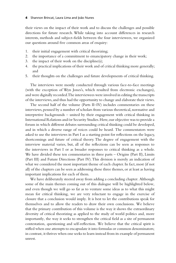their views on the impact of their work and to discuss the challenges and possible directions for future research. While taking into account differences in research interests, methods and subject-fields between the four interviewees, we organized our questions around five common areas of enquiry:

- 1. their initial engagement with critical theorizing;
- 2. the importance of a commitment to emancipatory change in their work;
- 3. the impact of their work on the discipline(s);
- 4. the practical implications of their work and of critical thinking more generally; and
- 5. their thoughts on the challenges and future developments of critical thinking.

The interviews were mostly conducted through various face-to-face meetings (with the exception of Wyn Jones's, which resulted from electronic exchanges), and were digitally recorded. The interviewees were involved in editing the transcripts of the interviews, and thus had the opportunity to change and elaborate their views.

The second half of the volume (Parts II–IV) includes commentaries on these interviews, penned by a number of scholars from various theoretical, normative and interpretive backgrounds – united by their engagement with critical thinking in International Relations and/or Security Studies. Here, our objective was to provide a forum in which different debates surrounding critical thinking could be developed, and in which a diverse range of voices could be heard. The commentators were asked to use the interviews in [Part I](#page-21-0) as a starting point for reflections on the legacy, shortcomings and future of critical theory. The degree of engagement with the interview material varies, but, all of the reflections can be seen as responses to the interviews in [Part I](#page-21-0) or as broader responses to critical thinking as a whole. We have divided these ten commentaries in three parts – Origins (Part II), Limits (Part III) and Future Directions (Part IV). This division is merely an indication of what we considered the most important theme of each chapter. In fact, most (if not all) of the chapters can be seen as addressing these three themes, or at least as having important implications for each of them.

We have deliberately steered away from adding a concluding chapter. Although some of the main themes coming out of this dialogue will be highlighted below, and even though we will go so far as to venture some ideas as to what this might mean for critical thinking, we are very reluctant to engage in the exercise of closure that a conclusion would imply. It is best to let the contributions speak for themselves and to allow the readers to draw their own conclusions. We believe that the primary contribution of this volume is the way it shows the extraordinary diversity of critical theorizing as applied to the study of world politics and, more importantly, the way it seeks to strengthen the critical field as a site of permanent contestation, questioning and self-reflection. We believe that the critical spirit is stifled when one attempts to encapsulate it into formulas or common denominators; in contrast, it thrives when one seeks to learn instead from its example of permanent unrest.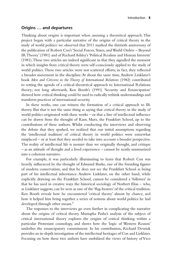#### <span id="page-14-0"></span>**Origins . . . and departures**

Thinking about origins is important when assessing a theoretical approach. This project began with a particular narrative of the origins of critical theory in the study of world politics: we observed that 2011 marked the thirtieth anniversary of the publication of Robert Cox's 'Social Forces, States, and World Orders – Beyond IR Theory' (1981) and of Richard Ashley's 'Political Realism and Human Interests'  $(1981)$ . These two articles are indeed significant in that they signalled the moment in which insights from critical theory were self-consciously applied to the study of world politics. These two articles were not scattered efforts; in fact, they reflected a broader movement in the discipline. At about the same time, Andrew Linklater's book *Men and Citizens in the Theory of International Relations* (1982) contributed to setting the agenda of a critical-theoretical approach to International Relations theory; not long afterwards, Ken Booth's (1991) 'Security and Emancipation' showed how critical thinking could be used to radically rethink understandings and transform practices of international security.

In these works, one can witness the formation of a critical approach to IR theory. But that is not the same thing as saying that critical theory in the study of world politics originated with these works  $-$  or that a line of intellectual influence can be drawn from the thought of Kant, Marx, the Frankfurt School, up to the contributions of these authors. Whilst conducting the interviews and observing the debate that they sparked, we realized that our initial assumptions regarding the 'intellectual tradition' of critical theory in world politics were somewhat misplaced – or at least that they needed to take into account a broader perspective. The reality of intellectual life is messier than we originally thought, and critique – as an attitude of thought and a lived experience – cannot be neatly summarized into a coherent narrative.

For example, it was particularly illuminating to learn that Robert Cox was heavily influenced by the thought of Edmund Burke, one of the founding figures of modern conservatism, and that he does not see the Frankfurt School as being part of his intellectual inheritance. Andrew Linklater, on the other hand, while explicitly drawing on the Frankfurt School, cannot be considered a 'follower' in that he has used in creative ways the historical sociology of Norbert Elias – who, as Linklater suggests, can be seen as one of the 'flag-bearers' of the critical tradition. Ken Booth reveals how he encountered 'critical theory' almost by chance, and how it helped him bring together a series of notions about world politics he had developed through other means.<sup>[5](#page-19-0)</sup>

The responses to the interviews go even further in complicating the narrative about the origins of critical theory. Mustapha Pasha's analysis of the subject of critical international theory explores the origins of critical thinking within a particular Protestant cosmology, and shows how the 'logic of Western Reason' underlies the emancipatory commitment. In his contribution, Richard Devetak provides an in-depth investigation of the intellectual heritages of Cox and Linklater. Focusing on how these two authors have mobilized the views of history of Vico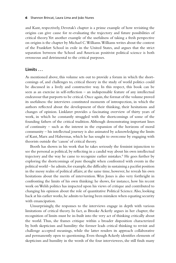<span id="page-15-0"></span>and Kant, respectively, Devetak's chapter is a prime example of how revisiting the origins can give cause for re-evaluating the trajectory and future possibilities of critical theory. Yet another example of the usefulness of taking a fresh perspective on origins is the chapter by Michael C. Williams. Williams writes about the context of the Frankfurt School in exile in the United States, and argues that the strict separation between the School and American positivist political science is both erroneous and detrimental to the critical purposes.

### **Limits . . .**

As mentioned above, this volume sets out to provide a forum in which the shortcomings of, and challenges to, critical theory in the study of world politics could be discussed in a lively and constructive way. In this respect, this book can be seen as an exercise in self-reflection  $-$  an indispensable feature of any intellectual endeavour that purports to be critical. Once again, the format of the volume proved its usefulness: the interviews constituted moments of introspection, in which the authors reflected about the development of their thinking, their hesitations and changes of opinion. Linklater provides a fascinating overview of thirty years of work, in which he constantly struggled with the shortcomings of some of the founding fathers of the critical tradition. Although demonstrating important lines of continuity – such as the interest in the expansion of the horizons of moral community – his intellectual journey is also animated by acknowledging the limits of Kant, Marx and Habermas, which he has sought to overcome by engaging with theorists outside the 'canon' of critical theory.

Booth has shown in his work that he takes seriously the feminist injunction to see the personal as political, by reflecting in a candid way about his own intellectual trajectory and the way he came to recognize earlier mistakes.<sup>[6](#page-19-0)</sup> He goes further by exploring the shortcomings of pure thought when confronted with events in the political world – he admits, for example, the difficulty in sustaining a pacifist position in the messy realm of political affairs; at the same time, however, he reveals his own hesitations about the merits of intervention. Wyn Jones is also very forthright in confronting the limits of his own thinking: he shows, for instance, how his recent work on Welsh politics has impacted upon his views of critique and contributed to changing his opinion about the role of quantitative Political Science. Also, looking back at his earlier works, he admits to having been mistaken when equating security with emancipation.

Unsurprisingly, the responses to the interviews engage in depth with various limitations of critical theory. In fact, as Brooke Ackerly argues in her chapter, the recognition of limits must be in-built into the very act of thinking critically about the world. Thus, she frames critique within a broader disposition characterized by both skepticism and humility: the former leads critical thinking to revisit and challenge accepted meanings, while the latter renders its approach collaborative and permanently open to questioning. Even though Ackerly identifies elements of skepticism and humility in the words of the four interviewees, she still finds many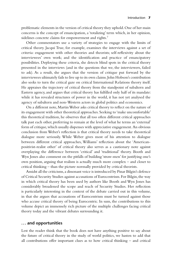<span id="page-16-0"></span>problematic elements in the version of critical theory they uphold. One of her main concerns is the concept of emancipation, a 'totalizing' term which, in her opinion, sidelines concrete claims for empowerment and rights.<sup>[7](#page-19-0)</sup>

Other commentators use a variety of strategies to engage with the limits of critical theory. Jacqui True, for example, examines the interviews against a set of criteria: engagement with other theories and theorists; self-reflexivity about the interviewees' own work; and the identification and practice of emancipatory possibilities. Deploying these criteria, she detects blind spots in the critical theory presented in the interviews (and in the questions that we, the interviewers, failed to ask). As a result, she argues that the version of critique put forward by the interviewees ultimately fails to live up to its own claims. John Hobson's contribution also seeks to turn the critical gaze on critical International Relations theory itself. He appraises the trajectory of critical theory from the standpoint of subaltern and Eastern agency, and argues that critical theory has fulfilled only half of its mandate: while it has revealed structures of power in the world, it has not yet analysed the agency of subaltern and non-Western actors in global politics and economics.

On a different note, Martin Weber asks critical theory to reflect on the nature of its engagement with other theoretical approaches. Seeking to 'make uncomfortable' this theoretical tradition, he observes that all too often different critical approaches talk past each other, preferring to remain at the level of what he terms an 'external' form of critique, which usually dispenses with appreciative engagement. An obvious conclusion from Weber's reflection is that critical theory needs to take theoretical dialogue more seriously. While Weber gives most of his attention to dialogue between different critical approaches, Williams' reflection about the 'Americanpositivist-realist other' of critical theory also serves as a cautionary note against overplaying the difference between 'critical' and 'traditional' theory. Booth and Wyn Jones also comment on the pitfalls of building 'straw-men' for justifying one's own position, arguing that realism is actually much more complex – and closer to critical thinking – than the picture normally provided by critical theorists.

Amidst all the criticisms, a dissonant voice is introduced by Pinar Bilgin's defence of Critical Security Studies against accusations of Eurocentrism. For Bilgin, the way in which critical theory has been used by authors like Booth and Wyn Jones has considerably broadened the scope and reach of Security Studies. Her reflection is particularly interesting in the context of the debate carried out in this volume, in that she argues that accusations of Eurocentrism must be turned against those who accuse critical theory of being Eurocentric. In sum, the contributions to this volume depict an immensely rich picture of the multiple challenges facing critical theory today and the vibrant debates surrounding it.

### **. . . and opportunities**

Lest the reader think that the book does not have anything positive to say about the future of critical theory in the study of world politics, we hasten to add that all contributions offer important clues as to how critical thinking – and critical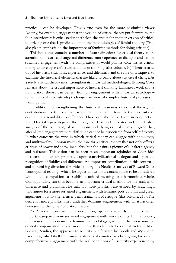practice – can be developed. This is true even for the more pessimistic views: Ackerly, for example, suggests that the version of critical theory put forward by the four interviewees is exhausted; nonetheless, she argues for another version of critical theorizing, one that is predicated upon the methodologies of feminist theory (True also places emphasis on the importance of feminist methods for doing critique).

This book thus contains a number of future directions for critical theory: more attention to historical change and difference, more openness to dialogue and a more sustained engagement with the complexities of world politics. Cox wishes critical theory to develop as an 'historical mode of thinking' (this volume, 20). Theories arise out of historical situations, experiences and dilemmas, and the role of critique is to examine the historical elements that are likely to bring about structural change. As a result, critical theory must strengthen its historical methodologies. Echoing Cox's remarks about the crucial importance of historical thinking, Linklater's work shows how critical theory can benefit from an engagement with historical sociology to help critical theorists adopt a long-term view of complex historical processes in world politics.

In addition to strengthening the historical awareness of critical theory, the contributions to this volume overwhelmingly point towards the necessity of developing a sensibility to difference. These calls should be taken in conjunction with Devetak's genealogy of the thought of Cox and Linklater, and with Pasha's analysis of the cosmological assumptions underlying critical theory – given that, after all, the engagement with difference cannot be dissociated from self-reflexivity. In what concerns the ways in which critical theory can engage with complexity and multivocality, Hobson makes the case for a critical theory that not only offers a critique of power and social inequality, but also paints a picture of subaltern agency and resistance. This vision can be seen as an important rejoinder to Cox's idea of a cosmopolitanism predicated upon transcivilizational dialogue and upon the recognition of fluidity and difference. An important contribution in this context  $$ and a promising direction for critical theory – is Neufeld's analysis of Edward Said's 'contrapuntal reading', which, he argues, allows for dissonant voices to be considered without the compulsion to establish a unified meaning or a harmonious whole. Contrapuntality can thus become an important critical method for the analysis of difference and pluralism. The calls for more pluralism are echoed by Hutchings, who argues for a more sustained engagement with feminist, post-colonial and green arguments in what she terms a 'democratization of critique' (this volume, 213). The desire for more pluralism also underlies Williams' engagement with what has often been seen as the 'other' of critical theory.

As Ackerly shows in her contribution, openness towards difference is an important step in a more sustained engagement with world politics. In this context, she stresses the importance of feminist methodologies, which in her view must be central components of any form of theory that claims to be critical. In the field of Security Studies, the approach to security put forward by Booth and Wyn Jones has distinguished itself from most of its critical counterparts by arguing for a more comprehensive engagement with the real conditions of insecurity experienced by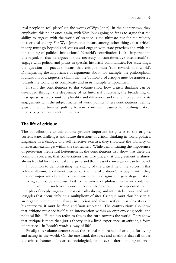<span id="page-18-0"></span>'real people in real places' (in the words of Wyn Jones). In their interviews, they emphasize this point once again, with Wyn Jones going so far as to argue that the ability to engage with the world of practice is the ultimate test for the validity of a critical theory. For Wyn Jones, this means, among other things, that critical theory must go beyond anti-statism and engage with state practices and with the functioning of political institutions[.8](#page-19-0) Neufeld's contribution is also important in this regard, in that he argues for the necessity of 'transformative intellectuals' to engage with politics and praxis in specific historical communities. For Hutchings, the question of practice means that critique must 'run towards the world'. Downplaying the importance of arguments about, for example, the philosophical foundations of critique, she claims that the 'authority' of critique must be transferred towards the world in its complexity and in its multiple temporalities.

In sum, the contributions to this volume show how critical thinking can be developed through the deepening of its historical awareness, the broadening of its scope so as to account for plurality and difference, and the reinforcement of its engagement with the subject matter of world politics. These contributions identify gaps and opportunities, putting forward concrete measures for pushing critical theory beyond its current limitations.

#### **The life of critique**

The contributions to this volume provide important insights as to the origins, current state, challenges and future directions of critical thinking in world politics. Engaging in a dialogic and self-reflective exercise, they showcase the vibrancy of intellectual exchanges within the critical field. While demonstrating the importance of preserving theoretical heterogeneity, the contributions also show that there are common concerns, that conversations can take place, that disagreement is almost always fruitful for the critical enterprise and that areas of convergence can be found.

In addition to demonstrating the vitality of the critical field, the voices in this volume illuminate different aspects of the 'life of critique'. To begin with, they provide important clues for a reassessment of its origins and genealogy. Critical thinking cannot be circumscribed to the works of philosophers – or contained in edited volumes such as this one – because its development is supported by the interplay of deeply ingrained ideas (as Pasha shows) and intimately connected with struggles that occur daily on a multiplicity of sites. Critique must thus be seen as an organic phenomenon, always in motion and always restless – as Cox states in his interview, it must be fluid and 'non-scholastic'. The contributions also show that critique must see itself as an intervention within an ever-evolving social and political life – Hutchings refers to this as the 'turn towards the world'. They show that critique is more than just a theory: it is a lived experience, an attitude, a form of practice – in Booth's words, a 'way of life'.

Finally, this volume demonstrates the crucial importance of critique for living and acting in the world. On the one hand, the ideas and methods that fall under the critical banner – historical, sociological, feminist, subaltern, among others –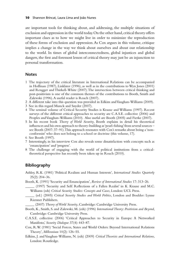<span id="page-19-0"></span>are important tools for thinking about, and addressing, the multiple situations of exclusion and oppression in the world today. On the other hand, critical theory offers important clues as to how we might live in order to minimize the reproduction of these forms of exclusion and oppression. As Cox argues in this volume, critique implies a change in the way we think about ourselves and about our relationship to the world. In times of global interconnectedness, global injustices and global dangers, the first and foremost lesson of critical theory may just be an injunction to personal transformation.

#### **Notes**

- [1](#page-10-0) The trajectory of the critical literature in International Relations can be accompanied in Hoffman (1987), Linklater (1996), as well as in the contributions to Wyn Jones (2001) and Rengger and Thirkell-White (2007). The intersection between critical thinking and post-positivism is one of the common themes of the contributions to Booth, Smith and Zalewski (1996). A useful reader is Roach (2007).
- [2](#page-11-0) A different take into this question was provided in Edkins and Vaughan-Williams (2009).
- [3](#page-12-0) See in this regard Munck and Snyder (2007).
- [4](#page-12-0) The seminal volume of Critical Security Studies is Krause and Williams (1997). Recent surveys of the different critical approaches to security are C.A.S.E. collective (2006) and Peoples and Vaughan-Williams (2010). Also useful are Booth (2005) and Fierke (2007).
- [5](#page-14-0) In his recent book *Theory of World Security*, Booth explains in detail his theoretical influences and his own approach to theory-building as 'pearl-fishing' from several sources see Booth (2007: 37–91). This approach resonates with Cox's remarks about being a 'nonconformist' who does not belong to a school or doctrine (this volume, 17).
- [6](#page-15-0) See Booth (1997).
- [7](#page-16-0) Interestingly, in his interview Cox also reveals some dissatisfaction with concepts such as 'emancipation' and 'progress'.
- [8](#page-18-0) The challenge of engaging with the world of political institutions from a criticaltheoretical perspective has recently been taken up in Roach (2010).

### **Bibliography**

- Ashley, R.K. (1981) 'Political Realism and Human Interests', *International Studies Quarterly* 25(2): 204–36.
- Booth, K. (1991) 'Security and Emancipation', *Review of International Studies* 17: 313–26.
- \_\_\_\_\_ (1997) 'Security and Self: Refl ections of a Fallen Realist' in K. Krause and M.C. Williams (eds) *Critical Security Studies: Concepts and Cases*, London: UCL Press.
	- \_\_\_\_\_ (ed.) (2005) *Critical Security Studies and World Politics*, London and Boulder: Lynne Rienner Publishers.
		- \_\_\_\_\_ (2007) *Theory of World Security*, Cambridge: Cambridge University Press.
- Booth, K., Smith, S. and Zalewski, M. (eds) (1996) *International Theory: Positivism and Beyond*, Cambridge: Cambridge University Press.
- C.A.S.E. collective (2006) 'Critical Approaches to Security in Europe: A Networked Manifesto,' *Security Dialogue* 37(4): 443–87.
- Cox, R.W. (1981) 'Social Forces, States and World Orders: Beyond International Relations Theory', *Millennium* 10(2): 126–55.
- Edkins, J. and Vaughan-Williams, N. (eds) (2009) *Critical Theorists and International Relations*, London: Routledge.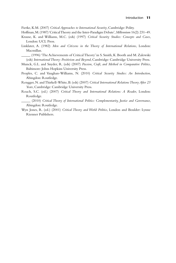Fierke, K.M. (2007) *Critical Approaches to International Security*, Cambridge: Polity.

- Hoffman, M. (1987) 'Critical Theory and the Inter-Paradigm Debate', *Millennium* 16(2): 231–49.
- Krause, K. and Williams, M.C. (eds) (1997) *Critical Security Studies: Concepts and Cases*, London: UCL Press.
- Linklater, A. (1982) *Men and Citizens in the Theory of International Relations*, London: Macmillan.

\_\_\_\_\_ (1996) 'The Achievements of Critical Theory' in S. Smith, K. Booth and M. Zalewski (eds) *International Theory: Positivism and Beyond*, Cambridge: Cambridge University Press.

- Munck, G.L. and Snyder, R. (eds) (2007) *Passion, Craft, and Method in Comparative Politics*, Baltimore: Johns Hopkins University Press.
- Peoples, C. and Vaughan-Williams, N. (2010) *Critical Security Studies: An Introduction*, Abingdon: Routledge.
- Rengger, N. and Thirkell-White, B. (eds) (2007) *Critical International Relations Theory After 25 Years*, Cambridge: Cambridge University Press.
- Roach, S.C. (ed.) (2007) *Critical Theory and International Relations: A Reader*, London: Routledge.
	- \_\_\_\_\_ (2010) *Critical Theory of International Politics: Complementarity, Justice and Governance*, Abingdon: Routledge.
- Wyn Jones, R. (ed.) (2001) *Critical Theory and World Politics*, London and Boulder: Lynne Rienner Publishers.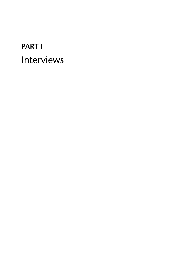# <span id="page-21-0"></span>**[PART I](#page-4-0)** [Interviews](#page-4-0)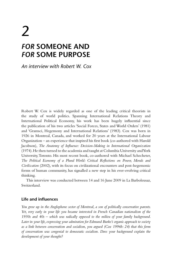# <span id="page-22-0"></span> $\overline{\mathcal{L}}$ *FOR* **[SOMEONE AND](#page-4-0)**  *FOR* **SOME PURPOSE**

*[An interview with Robert W. Cox](#page-4-0)*

Robert W. Cox is widely regarded as one of the leading critical theorists in the study of world politics. Spanning International Relations Theory and International Political Economy, his work has been hugely influential since the publication of his two articles 'Social Forces, States and World Orders' (1981) and 'Gramsci, Hegemony and International Relations' (1983). Cox was born in 1926 in Montreal, Canada, and worked for 20 years at the International Labour Organization – an experience that inspired his first book (co-authored with Harold Jacobson), *The Anatomy of Influence: Decision-Making in International Organization* (1974). He then turned to the academia and taught at Columbia University and York University, Toronto. His most recent book, co-authored with Michael Schecheter, *The Political Economy of a Plural World: Critical Reflections on Power, Morals and Civilization* (2002), with its focus on civilizational encounters and post-hegemonic forms of human community, has signalled a new step in his ever-evolving critical thinking.

This interview was conducted between 14 and 16 June 2009 in La Barboleusaz, Switzerland.

### **Life and influences**

*You grew up in the Anglophone sector of Montreal, a son of politically conservative parents. Yet, very early in your life you became interested in French Canadian nationalism of the 1930s and 40s – which was radically opposed to the milieu of your family background. Later in your life, expressing your admiration for Edmund Burke's organic approach to society as a link between conservatism and socialism, you argued (Cox 1996b: 24) that this form of conservatism was congenial to democratic socialism. Does your background explain the development of your thought?*